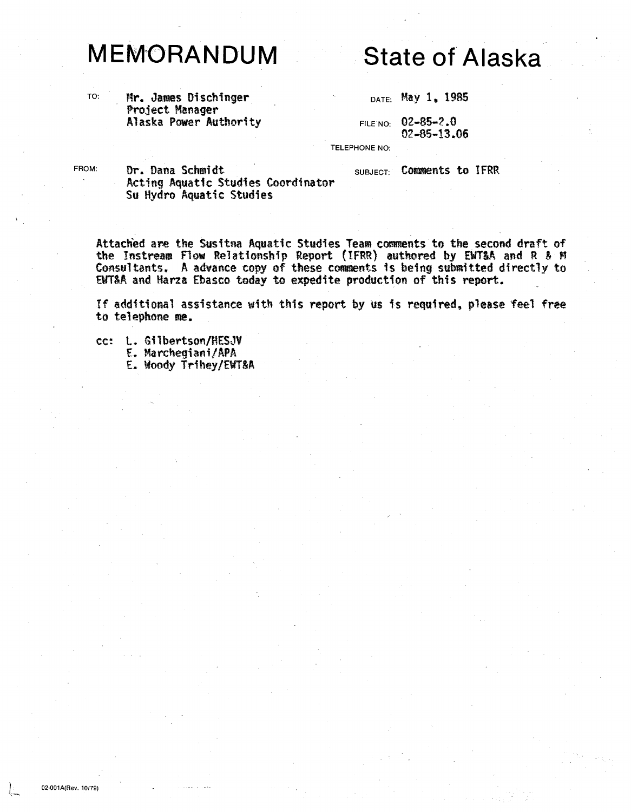## **MEMORANDUM**

Alaska Power Authority

## **State of Alaska**

DATE: May 1, 1985

FILENO: 02-85-? .0 02-85-13.06

TELEPHONE NO:

FROM: **Dr. Dana Schmidt** SubJEct: Comments to IFRR Acting Aquatic Studies Coordinator Su Hydro Aquatic Studies

Attached are the Susitna Aquatic Studies Team comments to the second draft of the Instream Flow Relationship Report (IFRR) authored by EWT&A and R & M Consultants. A advance copy of these comments is being submitted directly to ENT&A and Harza Ebasco today to expedite production of this report.

If additional assistance with this report by us is required, please feel free to telephone me.

cc: L. Gilbertson/HESJV<br>E. Marchegiani/APA E. Marchegiani/APA E. Woody Trihey/fWT&A

~.,-.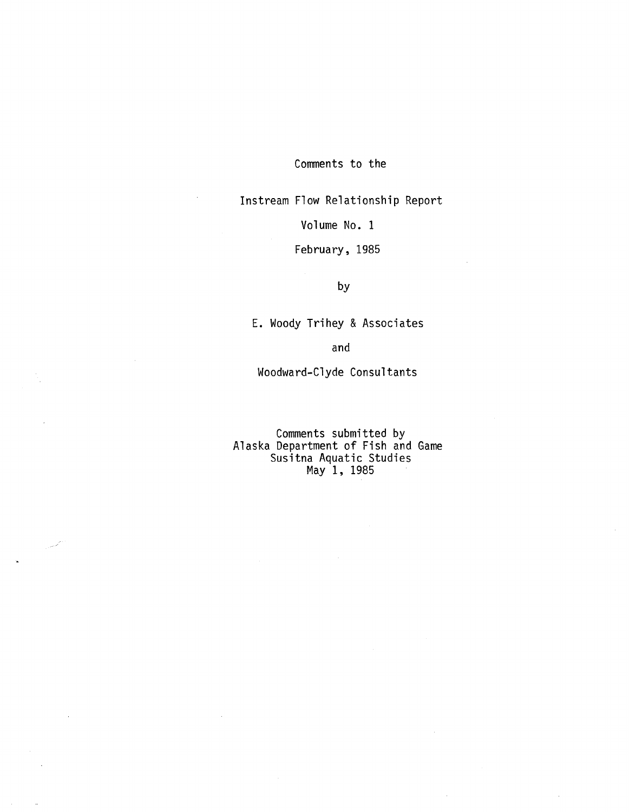Conments to the

Instream Flow Relationship Report

Volume No. 1

February, 1985

by

E. Woody Trihey & Associates

and

Woodward-Clyde Consultants

Comments submitted by Alaska Department of Fish and Game Susitna Aquatic Studies May 1, 1985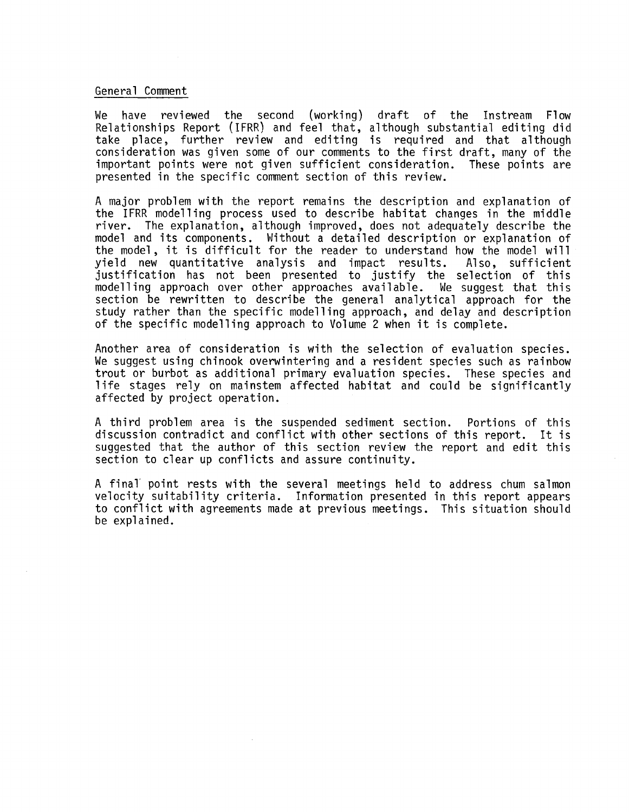## General Comment

We have reviewed the second (working) draft of the Instream Flow Relationships Report (IFRR) and feel that, although substantial editing did take place, further review and editing is required and that although consideration was given some of our comments to the first draft, many of the important points were not given sufficient consideration. presented in the specific comment section of this review.

A major problem with the report remains the description and explanation of the IFRR modelling process used to describe habitat changes in the middle river. The explanation, although improved, does not adequately describe the model and its components. Without a detailed description or explanation of the model, it is difficult for the reader to understand how the model will<br>vield new quantitative analysis and impact results. Also, sufficient yield new quantitative analysis and justification has not been presented to justify the selection of this<br>modelling approach over other approaches available. We suggest that this modelling approach over other approaches available. section be rewritten to describe the general analytical approach for the study rather than the specific modelling approach, and delay and description of the specific modelling approach to Volume 2 when it is complete.

Another area of consideration is with the selection of evaluation species. We suggest using chinook overwintering and a resident species such as rainbow trout or burbot as additional primary evaluation species. These species and 1 ife stages rely on mainstem affected habitat and could be significantly affected by project operation.

A third problem area is the suspended sediment section. Portions of this discussion contradict and conflict with other sections of this report. It is suggested that the author of this section review the report and edit this section to clear up conflicts and assure continuity.

A final point rests with the several meetings held to address chum salmon velocity suitability criteria. Information presented in this report appears to conflict with agreements made at previous meetings. This situation should be explained.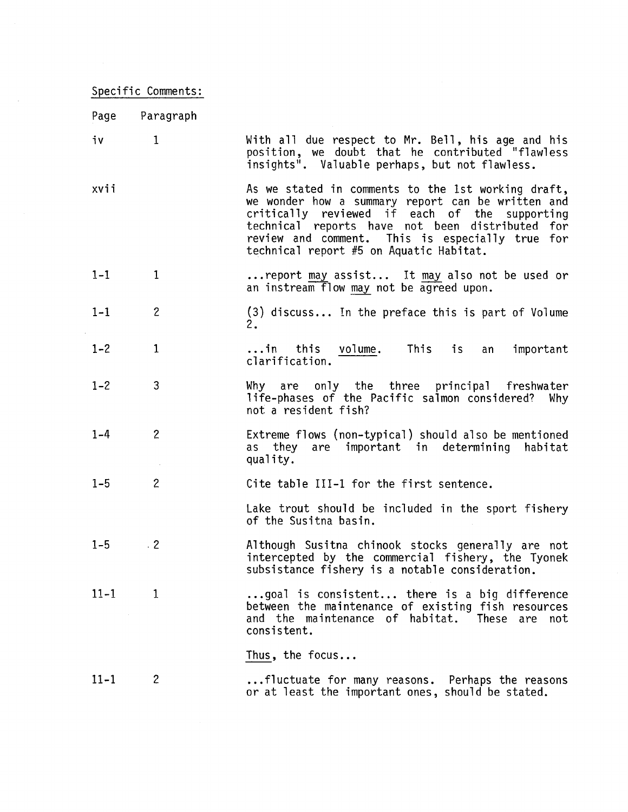## Specific Comments:

 $\sim 10^{-1}$ 

| Page     | Paragraph      |                                                                                                                                                                                                                                                                                                           |
|----------|----------------|-----------------------------------------------------------------------------------------------------------------------------------------------------------------------------------------------------------------------------------------------------------------------------------------------------------|
| iv       | $\mathbf{1}$   | With all due respect to Mr. Bell, his age and his<br>position, we doubt that he contributed "flawless<br>insights". Valuable perhaps, but not flawless.                                                                                                                                                   |
| xvii     |                | As we stated in comments to the 1st working draft,<br>we wonder how a summary report can be written and<br>critically reviewed if each of the supporting<br>technical reports have not been distributed for<br>review and comment. This is especially true for<br>technical report #5 on Aquatic Habitat. |
| $1 - 1$  | $\mathbf{1}$   | report may assist It may also not be used or<br>an instream flow may not be agreed upon.                                                                                                                                                                                                                  |
| $1 - 1$  | $\overline{c}$ | (3) discuss In the preface this is part of Volume<br>2.                                                                                                                                                                                                                                                   |
| $1 - 2$  | $\mathbf{1}$   | in this volume.<br>This is<br>important<br>an<br>clarification.                                                                                                                                                                                                                                           |
| $1 - 2$  | 3              | Why are only the three principal freshwater<br>life-phases of the Pacific salmon considered? Why<br>not a resident fish?                                                                                                                                                                                  |
| $1 - 4$  | $\overline{2}$ | Extreme flows (non-typical) should also be mentioned<br>as they are important in determining habitat<br>quality.                                                                                                                                                                                          |
| $1 - 5$  | $\overline{c}$ | Cite table III-1 for the first sentence.                                                                                                                                                                                                                                                                  |
|          |                | Lake trout should be included in the sport fishery<br>of the Susitna basin.                                                                                                                                                                                                                               |
| $1 - 5$  | $\cdot$ 2      | Although Susitna chinook stocks generally are not<br>intercepted by the commercial fishery, the Tyonek<br>subsistance fishery is a notable consideration.                                                                                                                                                 |
| $11 - 1$ | 1              | goal is consistent there is a big difference<br>between the maintenance of existing fish resources<br>and the maintenance of habitat. These are not<br>consistent.                                                                                                                                        |
|          |                | Thus, the focus                                                                                                                                                                                                                                                                                           |
| $11 - 1$ | $\overline{c}$ | fluctuate for many reasons. Perhaps the reasons<br>or at least the important ones, should be stated.                                                                                                                                                                                                      |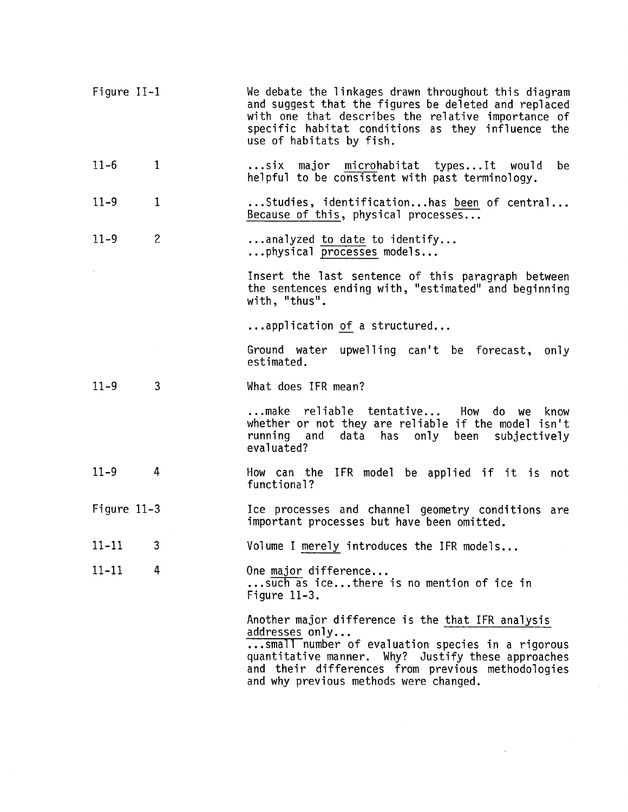| Figure II-1   |                | We debate the linkages drawn throughout this diagram<br>and suggest that the figures be deleted and replaced<br>with one that describes the relative importance of<br>specific habitat conditions as they influence the<br>use of habitats by fish.                          |
|---------------|----------------|------------------------------------------------------------------------------------------------------------------------------------------------------------------------------------------------------------------------------------------------------------------------------|
| $11 - 6$      | $\mathbf{1}$   | six major microhabitat typesIt would<br>be<br>helpful to be consistent with past terminology.                                                                                                                                                                                |
| $11 - 9$      | $\mathbf{1}$   | Studies, identificationhas been of central<br>Because of this, physical processes                                                                                                                                                                                            |
| $11 - 9$      | $\overline{c}$ | analyzed to date to identify<br>physical processes models                                                                                                                                                                                                                    |
|               |                | Insert the last sentence of this paragraph between<br>the sentences ending with, "estimated" and beginning<br>with, "thus".                                                                                                                                                  |
|               |                | application of a structured                                                                                                                                                                                                                                                  |
|               |                | Ground water upwelling can't be forecast, only<br>estimated.                                                                                                                                                                                                                 |
| $11 - 9$      | 3              | What does IFR mean?                                                                                                                                                                                                                                                          |
|               |                | make reliable tentative How do we know<br>whether or not they are reliable if the model isn't<br>running and data has only been subjectively<br>evaluated?                                                                                                                   |
| $11 - 9$      | 4              | How can the IFR model be applied if it is not<br>functional?                                                                                                                                                                                                                 |
| Figure $11-3$ |                | Ice processes and channel geometry conditions are<br>important processes but have been omitted.                                                                                                                                                                              |
| $11-11$ 3     |                | Volume I merely introduces the IFR models                                                                                                                                                                                                                                    |
| $11 - 11$     | 4              | One major difference<br>such as ice there is no mention of ice in<br>Figure $11-3$ .                                                                                                                                                                                         |
|               |                | Another major difference is the that IFR analysis<br>addresses only<br>small number of evaluation species in a rigorous<br>quantitative manner. Why? Justify these approaches<br>and their differences from previous methodologies<br>and why previous methods were changed. |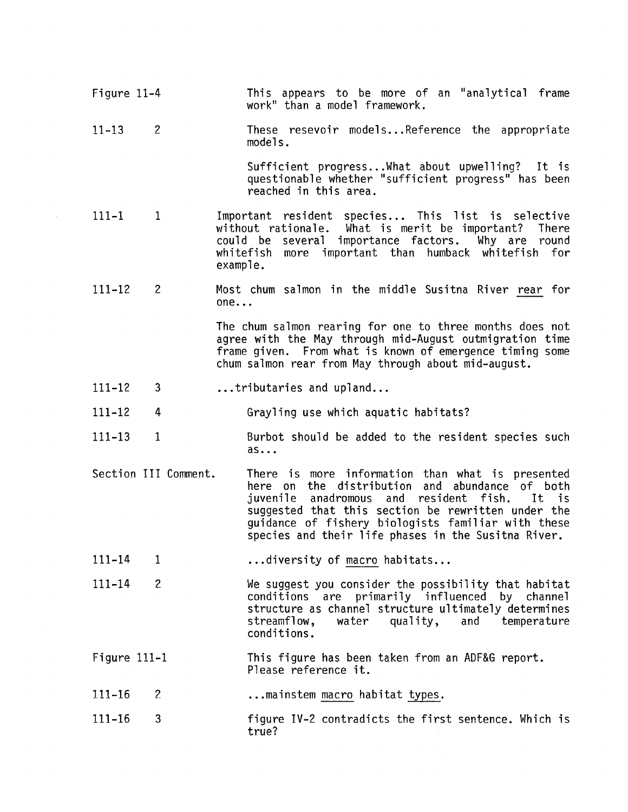Figure 11-4 11-13 111-1 111-12 111-12 111-12 111-13 2 1 2 3 4 1 Section III Comment. 111-14 111-14 1 2 Figure 111-1 111-16 111-16 2 3 This appears to be more of an "analytical frame work" than a model framework. These resevoir models...Reference the appropriate models. Sufficient progress ... What about upwelling? It is questionable whether "sufficient progress" has been reached in this area. Important resident species... This list is selective<br>without rationale. What is merit be important? There without rationale. What is merit be important? could be several importance factors. Why are round whitefish more important than humback whitefish for example. Most chum salmon in the middle Susitna River rear for  $one...$ The chum salmon rearing for one to three months does not agree with the May through mid-August outmigration time frame given. From what is known of emergence timing some chum salmon rear from May through about mid-august. ...tributaries and upland... Grayling use which aquatic habitats? Burbot should be added to the resident species such as ... There is more information than what is presented here on the distribution and abundance of both<br>iuvenile anadromous and resident fish. It is juvenile anadromous and resident fish. It is suggested that this section be rewritten under the guidance of fishery biologists familiar with these species and their life phases in the Susitna River. ... diversity of macro habitats... We suggest you consider the possibility that habitat conditions are primarily influenced by channel structure as channel structure ultimately determines<br>streamflow, water quality, and temperature quality, and temperature conditions. This figure has been taken from an ADF&G report. Please reference it. ... mainstem macro habitat types. figure IV-2 contradicts the first sentence. Which is true?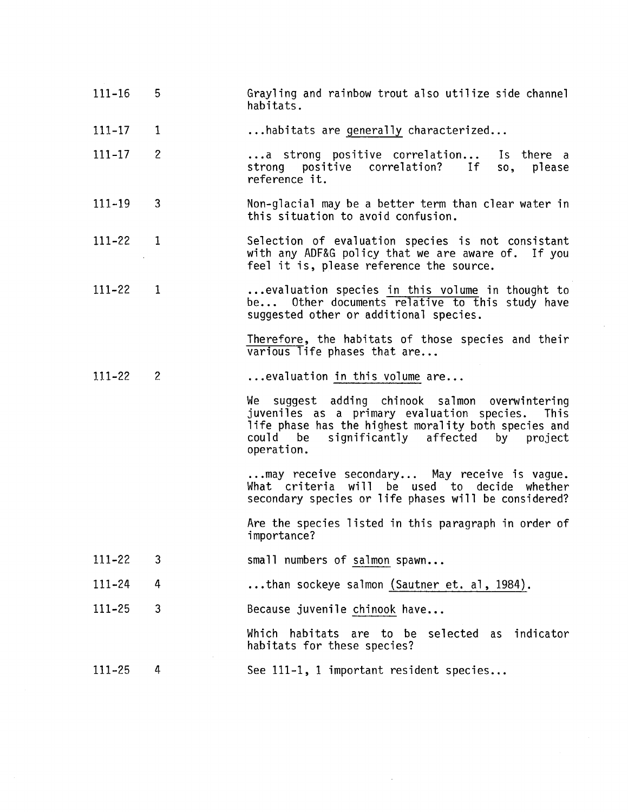- 111-16 5 Grayling and rainbow trout also utilize side channel habitats .
- 111-17 1 ... habitats are generally characterized...
- 111-17 2 ...a strong positive correlation...<br>strong positive correlation? If reference it. Is there a<br>so, please please
- 111-19 3 Non-glacial may be a better term than clear water in this situation to avoid confusion.
- 111-22 1 Selection of evaluation species is not consistant with any ADF&G policy that we are aware of. If you feel it is, please reference the source.
- 111-22 1 ...evaluation species in this volume in thought to be... Other documents relative to this study have suggested other or additional species.

Therefore, the habitats of those species and their  $\overline{\text{various}}$  life phases that are...

111-22 2 ... evaluation in this volume are...

> We suggest adding chinook salmon overwintering juveniles as a primary evaluation species. This life phase has the highest morality both species and<br>could be significantly affected by project could be significantly<br>operation.

... may receive secondary... May receive is vague. What criteria will be used to decide whether secondary species or life phases will be considered?

Are the species listed in this paragraph in order of importance?

- 111-22 3 small numbers of salmon spawn...
- 111-24 4 ...than sockeye salmon (Sautner et. al, 1984).
- 111-25 3 Because juvenile chinook have...

Which habitats are to be selected as indicator habitats for these species?

111-25 4 See 111-1, 1 important resident species...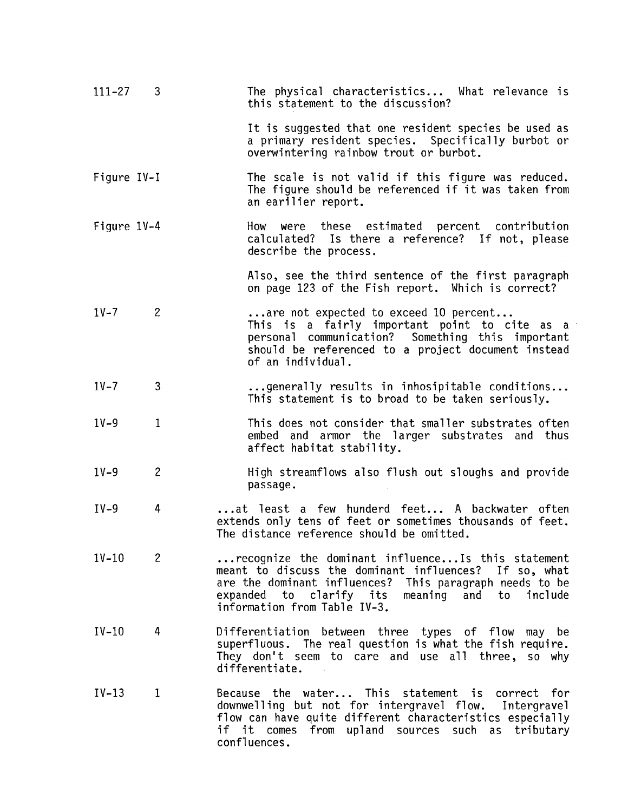| 111-27      | 3            | The physical characteristics What relevance is<br>this statement to the discussion?                                                                                                                                                                            |
|-------------|--------------|----------------------------------------------------------------------------------------------------------------------------------------------------------------------------------------------------------------------------------------------------------------|
|             |              | It is suggested that one resident species be used as<br>a primary resident species. Specifically burbot or<br>overwintering rainbow trout or burbot.                                                                                                           |
| Figure IV-I |              | The scale is not valid if this figure was reduced.<br>The figure should be referenced if it was taken from<br>an earilier report.                                                                                                                              |
| Figure 1V-4 |              | How were these estimated percent contribution<br>calculated? Is there a reference? If not, please<br>describe the process.                                                                                                                                     |
|             |              | Also, see the third sentence of the first paragraph<br>on page 123 of the Fish report. Which is correct?                                                                                                                                                       |
| $1V-7$      | $\mathbf{2}$ | are not expected to exceed 10 percent<br>This is a fairly important point to cite as a<br>personal communication? Something this important<br>should be referenced to a project document instead<br>of an individual.                                          |
| $1V-7$      | 3            | generally results in inhosipitable conditions<br>This statement is to broad to be taken seriously.                                                                                                                                                             |
| $1V-9$      | $\mathbf{1}$ | This does not consider that smaller substrates often<br>embed and armor the larger substrates<br>and thus<br>affect habitat stability.                                                                                                                         |
| $1V-9$      | $\mathbf{2}$ | High streamflows also flush out sloughs and provide<br>passage.                                                                                                                                                                                                |
| $IV-9$      | 4            | at least a few hunderd feet A backwater often<br>extends only tens of feet or sometimes thousands of feet.<br>The distance reference should be omitted.                                                                                                        |
| $1V-10$     | $\mathbf{2}$ | recognize the dominant influence Is this statement<br>meant to discuss the dominant influences? If so, what<br>are the dominant influences? This paragraph needs to be<br>expanded to clarify its<br>meaning and to<br>include<br>information from Table IV-3. |
| $IV-10$     | 4            | Differentiation between three types of flow may be<br>superfluous. The real question is what the fish require.<br>They don't seem to care and use all three, so why<br>differentiate.                                                                          |
| $IV-13$     | 1            | Because the water This statement is correct for<br>downwelling but not for intergravel flow. Intergravel<br>flow can have quite different characteristics especially<br>if it comes from upland sources such as tributary<br>confluences.                      |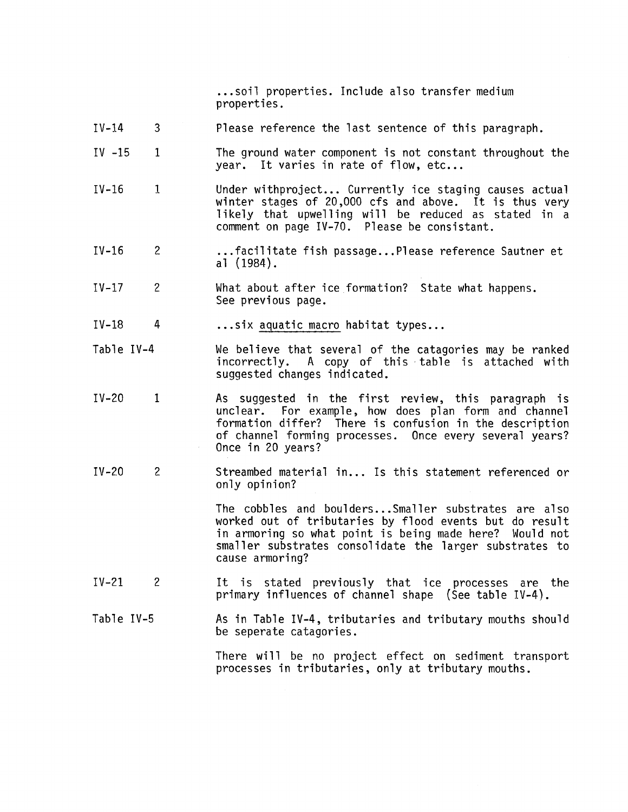...soil properties. Include also transfer medium properties.

- IV-14 3 Please reference the last sentence of this paragraph.
- $IV -15$ 1 The ground water component is not constant throughout the year. It varies in rate of flow, etc...
- IV-16 1 Under withproject... Currently ice staging causes actual winter stages of 20,000 cfs and above. It is thus very likely that upwelling will be reduced as stated in a comment on page IV-70. Please be consistant.
- IV-16 2 ... facilitate fish passage... Please reference Sautner et al (1984).
- IV-17 2 What about after ice formation? State what happens. See previous page .
- IV-18 4 ... six aquatic macro habitat types...
- Table IV-4 We believe that several of the catagories may be ranked<br>incorrectly. A copy of this table is attached with A copy of this table is attached with suggested changes indicated.
- IV-20 1 As suggested in the first review, this paragraph is For example, how does plan form and channel formation differ? There is confusion in the description of channel forming processes. Once every several years?<br>Once in 20 years?
- $IV-20$ 2 Streambed material in... Is this statement referenced or only opinion?

The cobbles and boulders... Smaller substrates are also worked out of tributaries by flood events but do result in armoring so what point is being made here? Would not smaller substrates consolidate the larger substrates to cause armoring?

- IV-21 2 It is stated previously that ice processes are the primary influences of channel shape (See table IV-4).
- Table IV-5 As in Table IV-4, tributaries and tributary mouths should be seperate catagories.

There will be no project effect on sediment transport processes in tributaries, only at tributary mouths.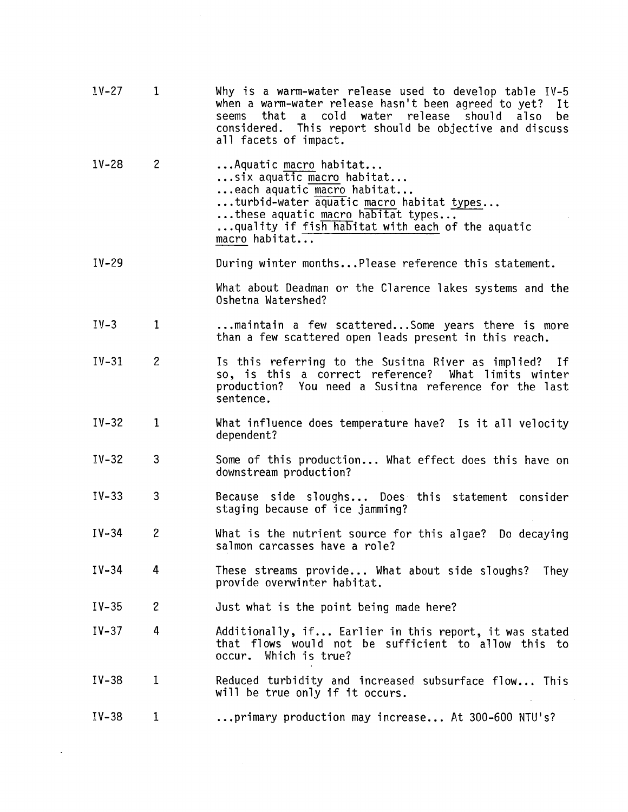| $1V-27$   | $\mathbf{1}$   | Why is a warm-water release used to develop table IV-5<br>when a warm-water release hasn't been agreed to yet?<br>It<br>a cold water release should<br>that<br>also<br>seems<br>be<br>considered. This report should be objective and discuss<br>all facets of impact. |
|-----------|----------------|------------------------------------------------------------------------------------------------------------------------------------------------------------------------------------------------------------------------------------------------------------------------|
| $1V - 28$ | $\mathbf{2}$   | Aquatic macro habitat<br>six aquatic macro habitat<br>each aquatic macro habitat<br>turbid-water aquatic macro habitat types<br>these aquatic macro habitat types<br>quality if fish habitat with each of the aquatic<br>macro habitat                                 |
| $IV-29$   |                | During winter monthsPlease reference this statement.                                                                                                                                                                                                                   |
|           |                | What about Deadman or the Clarence lakes systems and the<br>Oshetna Watershed?                                                                                                                                                                                         |
| $IV-3$    | 1              | maintain a few scatteredSome years there is more<br>than a few scattered open leads present in this reach.                                                                                                                                                             |
| $IV-31$   | $\overline{c}$ | Is this referring to the Susitna River as implied?<br>- If<br>so, is this a correct reference?<br>What limits winter<br>production?<br>You need a Susitna reference for the last<br>sentence.                                                                          |
| $IV-32$   | 1              | What influence does temperature have? Is it all velocity<br>dependent?                                                                                                                                                                                                 |
| $IV-32$   | 3              | Some of this production What effect does this have on<br>downstream production?                                                                                                                                                                                        |
| $IV-33$   | 3              | Because side sloughs Does this statement consider<br>staging because of ice jamming?                                                                                                                                                                                   |
| $IV-34$   | $\overline{c}$ | What is the nutrient source for this algae? Do decaying<br>salmon carcasses have a role?                                                                                                                                                                               |
| $IV-34$   | 4              | These streams provide What about side sloughs?<br>They<br>provide overwinter habitat.                                                                                                                                                                                  |
| $IV-35$   | $\overline{c}$ | Just what is the point being made here?                                                                                                                                                                                                                                |
| $IV-37$   | 4              | Additionally, if Earlier in this report, it was stated<br>that flows would not be sufficient to allow this to<br>Which is true?<br>occur.                                                                                                                              |
| $IV-38$   | 1              | Reduced turbidity and increased subsurface flow This<br>will be true only if it occurs.                                                                                                                                                                                |
| $IV-38$   | 1              | primary production may increase At 300-600 NTU's?                                                                                                                                                                                                                      |

 $\mathcal{L}(\mathcal{A})$  and  $\mathcal{L}(\mathcal{A})$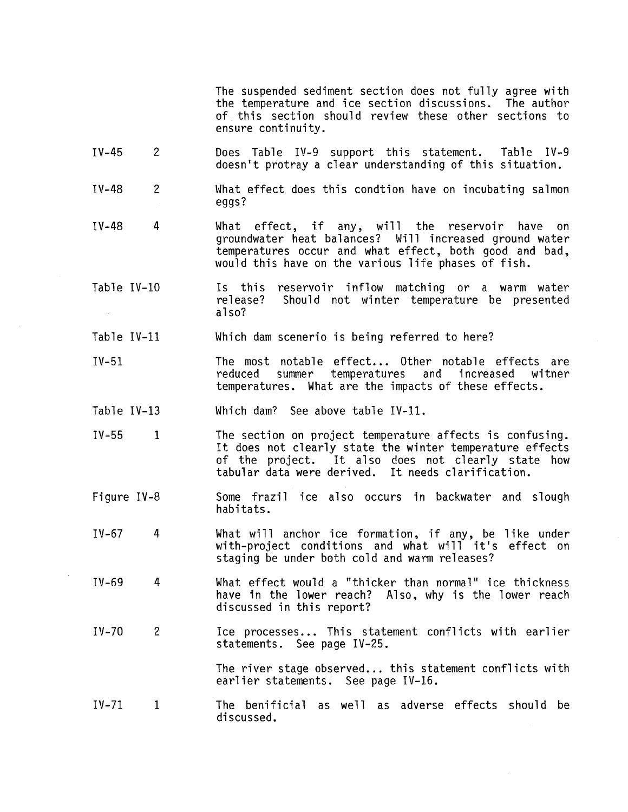The suspended sediment section does not fully agree with the temperature and ice section discussions. The author of this section should review these other sections to ensure continuity.

- IV-45 2 Does Table IV-9 support this statement. Table IV-9 doesn't protray a clear understanding of this situation.
- IV-48 2 What effect does this condtion have on incubating salmon eggs?
- IV-48 4 What effect, if any, will the reservoir have on groundwater heat balances? Will increased ground water temperatures occur and what effect, both good and bad, would this have on the various life phases of fish.
- Is this reservoir inflow matching or a warm water Table IV-10 release? Should not winter temperature be presented also?  $\sim$
- Table IV-11 Which dam scenerio is being referred to here?
- IV-51 The most notable effect... Other notable effects are<br>reduced summer temperatures and increased witner summer temperatures and increased temperatures. What are the impacts of these effects.
- Table IV-13 Which dam? See above table IV-11.
- IV-55 1 The section on project temperature affects is confusing. It does not clearly state the winter temperature effects of the project. It also does not clearly state how tabular data were derived. It needs clarification.
- Figure IV-8 Some frazil ice also occurs in backwater and slough habitats.
- $IV-67$  4 What will anchor ice formation, if any, be like under with-project conditions and what will it's effect on staging be under both cold and warm releases?
- IV-69 4 What effect would a "thicker than normal" ice thickness have in the lower reach? Also, why is the lower reach discussed in this report?
- IV-70 2 Ice processes... This statement conflicts with earlier statements. See page IV-25.

The river stage observed... this statement conflicts with earlier statements. See page IV-16.

 $IV-71$  1 The benificial as well as adverse effects should be discussed.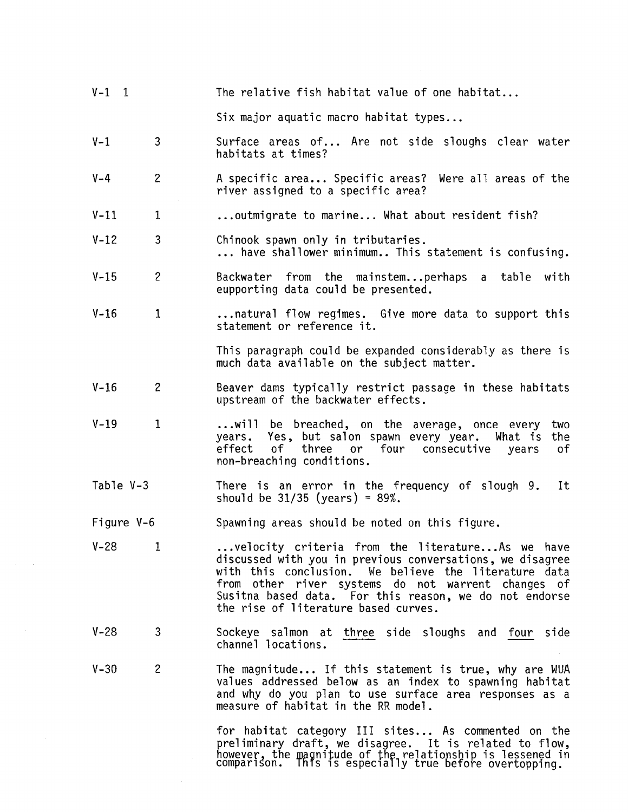| $V-1$ 1    |                | The relative fish habitat value of one habitat                                                                                                                                                                                                                                                                               |
|------------|----------------|------------------------------------------------------------------------------------------------------------------------------------------------------------------------------------------------------------------------------------------------------------------------------------------------------------------------------|
|            |                | Six major aquatic macro habitat types                                                                                                                                                                                                                                                                                        |
| $V-1$      | 3              | Surface areas of Are not side sloughs clear water<br>habitats at times?                                                                                                                                                                                                                                                      |
| $V - 4$    | $\overline{c}$ | A specific area Specific areas? Were all areas of the<br>river assigned to a specific area?                                                                                                                                                                                                                                  |
| $V-11$     | 1              | outmigrate to marine What about resident fish?                                                                                                                                                                                                                                                                               |
| $V - 12$   | 3              | Chinook spawn only in tributaries.<br>have shallower minimum This statement is confusing.                                                                                                                                                                                                                                    |
| $V-15$     | $\overline{c}$ | Backwater from the mainstemperhaps a table with<br>eupporting data could be presented.                                                                                                                                                                                                                                       |
| $V - 16$   | $\mathbf{1}$   | natural flow regimes. Give more data to support this<br>statement or reference it.                                                                                                                                                                                                                                           |
|            |                | This paragraph could be expanded considerably as there is<br>much data available on the subject matter.                                                                                                                                                                                                                      |
| $V - 16$   | $\overline{c}$ | Beaver dams typically restrict passage in these habitats<br>upstream of the backwater effects.                                                                                                                                                                                                                               |
| $V-19$     | $\mathbf{1}$   | will be breached, on the average, once every<br>two<br>years. Yes, but salon spawn every year. What is<br>the<br>effect<br>of<br>three or four consecutive<br>years<br>оf<br>non-breaching conditions.                                                                                                                       |
| Table V-3  |                | There is an error in the frequency of slough 9.<br>It<br>should be $31/35$ (years) = $89\%$ .                                                                                                                                                                                                                                |
| Figure V-6 |                | Spawning areas should be noted on this figure.                                                                                                                                                                                                                                                                               |
| $V-28$ 1   |                | velocity criteria from the literatureAs we have<br>discussed with you in previous conversations, we disagree<br>with this conclusion. We believe the literature data<br>from other river systems do not warrent changes of<br>Susitna based data. For this reason, we do not endorse<br>the rise of literature based curves. |
| $V - 28$   | 3              | Sockeye salmon at three side sloughs and four side<br>channel locations.                                                                                                                                                                                                                                                     |
| $V - 30$   | $\overline{c}$ | The magnitude If this statement is true, why are WUA<br>values addressed below as an index to spawning habitat<br>and why do you plan to use surface area responses as a<br>measure of habitat in the RR model.                                                                                                              |
|            |                | for habitat category III sites As commented on the<br>preliminary draft, we disagree. It is related to flow,<br>however, the magnitude of the relationship is lessened in<br>comparison. This is especially true before overtopping.                                                                                         |

 $\sim$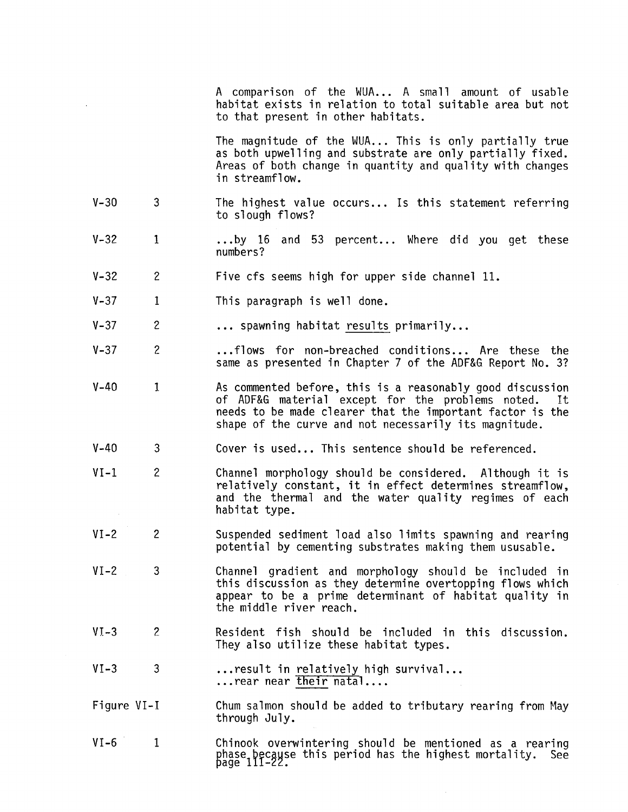A comparison of the WUA... A small amount of usable habitat exists in relation to total suitable area but not to that present in other habitats.

The magnitude of the WUA... This is only partially true as both upwelling and substrate are only partially fixed. Areas of both change in quantity and quality with changes in streamflow.

- V-30 3 The highest value occurs... Is this statement referring to slough flows?
- $V-32$ 1 ... by 16 and 53 percent... Where did you get these numbers?
- V-32 2 Five cfs seems high for upper side channel 11.
- V-37 1 This paragraph is well done.
- V-37 2 ... spawning habitat results primarily...
- V-37 2 ... flows for non-breached conditions... Are these the same as presented in Chapter 7 of the ADF&G Report No. 3?
- V-40 1 As commented before, this is a reasonably good discussion of ADF&G material except for the problems noted. needs to be made clearer that the important factor is the shape of the curve and not necessarily its magnitude.
- $V 40$ 3 Cover is used... This sentence should be referenced.
- $VI-1$ 2 Channel morphology should be considered. Although it is relatively constant, it in effect determines streamflow, and the thermal and the water quality regimes of each habitat type.
- $VI 2$ 2 Suspended sediment load also limits spawning and rearing potential by cementing substrates making them ususable.
- $VI-2$ 3 Channel gradient and morphology should be included in this discussion as they determine overtopping flows which appear to be a prime determinant of habitat quality in the middle river reach.
- $VI-3$ 2 Resident fish should be included in this discussion. They also utilize these habitat types.
- $VI-3$ 3 ...result in relatively high survival...<br>...rear near their natal....
- Figure VI-I Chum salmon should be added to tributary rearing from May through July.
- $VI-6$  1 Chinook overwintering should be mentioned as a rearing phase because this period has the highest mortality. See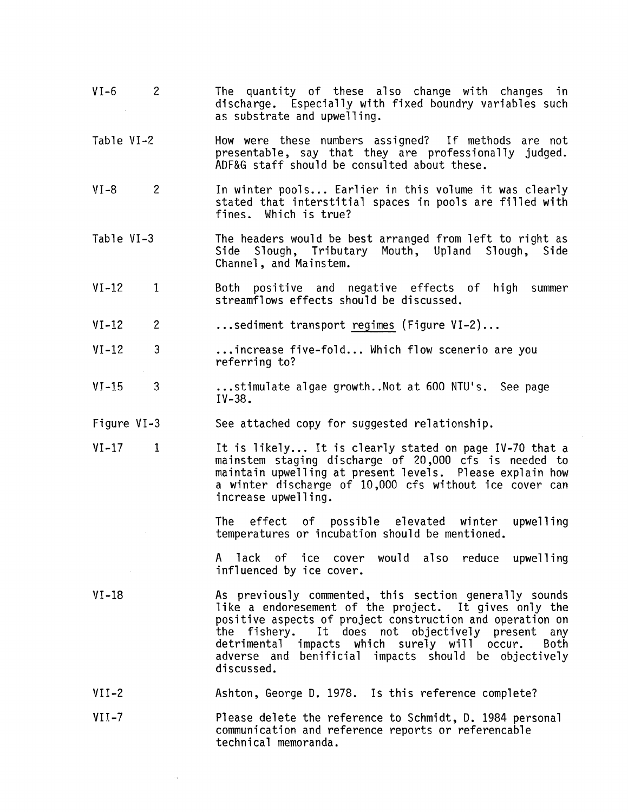- VI-6 2 The quantity of these also change with changes in discharge. Especially with fixed boundry variables such as substrate and upwelling.
- Table VI-2 How were these numbers assigned? If methods are not presentable, say that they are professionally judged. ADF&G staff should be consulted about these.
- VI-8 2 In winter pools... Earlier in this volume it was clearly stated that interstitial spaces in pools are filled with fines. Which is true?
- Table VI-3 The headers would be best arranged from left to right as Side Slough, Tributary Mouth, Upland Slough, Channel, and Mainstem.
- VI-12 1 Both positive and negative effects of high summer streamflows effects should be discussed.
- VI-12 2 ... sediment transport regimes (Figure VI-2) ...
- $VI-12$  3 ... increase five-fold... Which flow scenerio are you referring to?
- VI-15 3 ... stimulate algae growth .. Not at 600 NTU's. See page IV-38.
- Figure VI-3 See attached copy for suggested relationship.
- $VI-17$ 1 It is likely... It is clearly stated on page IV-70 that a mainstem staging discharge of 20,000 cfs is needed to maintain upwelling at present levels. Please explain how a winter discharge of 10,000 cfs without ice cover can increase upwelling.

The effect of possible elevated winter upwelling temperatures or incubation should be mentioned.

A lack of ice cover would also reduce upwelling influenced by ice cover.

- VI-18 As previously commented, this section generally sounds like a endoresement of the project. It gives only the positive aspects of project construction and operation on<br>the fishery. It does not objectively present any the fishery. It does not objectively present any<br>detrimental impacts which surely will occur. Both impacts which surely will occur. adverse and benificial impacts should be objectively discussed.
- VII-2 Ashton, George D. 1978. Is this reference complete?
- $VII-7$ Please delete the reference to Schmidt, D. 1984 personal communication and reference reports or referencable technical memoranda.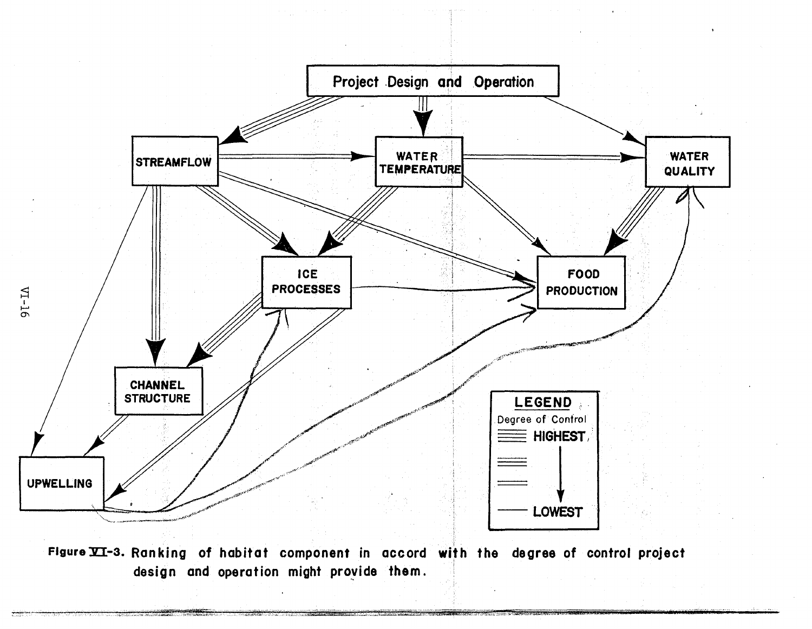